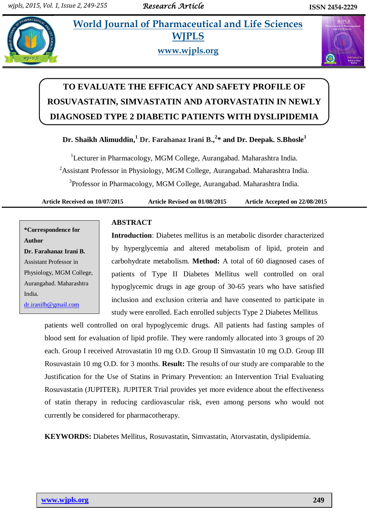## **In a<sub>t</sub> all <b>World** Journal of Pharmaceutical and Life Sciences **WJPLS**



**www.wjpls.org**



# **TO EVALUATE THE EFFICACY AND SAFETY PROFILE OF ROSUVASTATIN, SIMVASTATIN AND ATORVASTATIN IN NEWLY DIAGNOSED TYPE 2 DIABETIC PATIENTS WITH DYSLIPIDEMIA**

**Dr. Shaikh Alimuddin, <sup>1</sup> Dr. Farahanaz Irani B., 2 \* and Dr. Deepak. S.Bhosle<sup>3</sup>**

<sup>1</sup>Lecturer in Pharmacology, MGM College, Aurangabad. Maharashtra India. <sup>2</sup>Assistant Professor in Physiology, MGM College, Aurangabad. Maharashtra India. <sup>3</sup>Professor in Pharmacology, MGM College, Aurangabad. Maharashtra India.

**Article Received on 10/07/2015 Article Revised on 01/08/2015 Article Accepted on 22/08/2015**

**\*Correspondence for Author Dr. Farahanaz Irani B.** Assistant Professor in Physiology, MGM College, Aurangabad. Maharashtra India. [dr.iranifb@gmail.com](mailto:dr.iranifb@gmail.com)

### **ABSTRACT**

**Introduction**: Diabetes mellitus is an metabolic disorder characterized by hyperglycemia and altered metabolism of lipid, protein and carbohydrate metabolism. **Method:** A total of 60 diagnosed cases of patients of Type II Diabetes Mellitus well controlled on oral hypoglycemic drugs in age group of 30-65 years who have satisfied inclusion and exclusion criteria and have consented to participate in study were enrolled. Each enrolled subjects Type 2 Diabetes Mellitus

patients well controlled on oral hypoglycemic drugs. All patients had fasting samples of blood sent for evaluation of lipid profile. They were randomly allocated into 3 groups of 20 each. Group I received Atrovastatin 10 mg O.D. Group II Simvastatin 10 mg O.D. Group III Rosuvastain 10 mg O.D. for 3 months. **Result:** The results of our study are comparable to the Justification for the Use of Statins in Primary Prevention: an Intervention Trial Evaluating Rosuvastatin (JUPITER). JUPITER Trial provides yet more evidence about the effectiveness of statin therapy in reducing cardiovascular risk, even among persons who would not currently be considered for pharmacotherapy.

**KEYWORDS:** Diabetes Mellitus, Rosuvastatin, Simvastatin, Atorvastatin, dyslipidemia.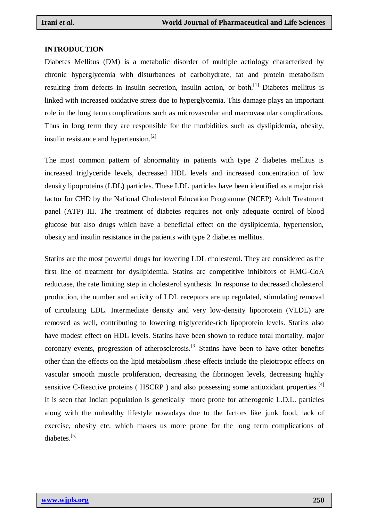#### **INTRODUCTION**

Diabetes Mellitus (DM) is a metabolic disorder of multiple aetiology characterized by chronic hyperglycemia with disturbances of carbohydrate, fat and protein metabolism resulting from defects in insulin secretion, insulin action, or both.<sup>[1]</sup> Diabetes mellitus is linked with increased oxidative stress due to hyperglycemia. This damage plays an important role in the long term complications such as microvascular and macrovascular complications. Thus in long term they are responsible for the morbidities such as dyslipidemia, obesity, insulin resistance and hypertension.[2]

The most common pattern of abnormality in patients with type 2 diabetes mellitus is increased triglyceride levels, decreased HDL levels and increased concentration of low density lipoproteins (LDL) particles. These LDL particles have been identified as a major risk factor for CHD by the National Cholesterol Education Programme (NCEP) Adult Treatment panel (ATP) III. The treatment of diabetes requires not only adequate control of blood glucose but also drugs which have a beneficial effect on the dyslipidemia, hypertension, obesity and insulin resistance in the patients with type 2 diabetes mellitus.

Statins are the most powerful drugs for lowering LDL cholesterol. They are considered as the first line of treatment for dyslipidemia. Statins are competitive inhibitors of HMG-CoA reductase, the rate limiting step in cholesterol synthesis. In response to decreased cholesterol production, the number and activity of LDL receptors are up regulated, stimulating removal of circulating LDL. Intermediate density and very low-density lipoprotein (VLDL) are removed as well, contributing to lowering triglyceride-rich lipoprotein levels. Statins also have modest effect on HDL levels. Statins have been shown to reduce total mortality, major coronary events, progression of atherosclerosis.<sup>[3]</sup> Statins have been to have other benefits other than the effects on the lipid metabolism .these effects include the pleiotropic effects on vascular smooth muscle proliferation, decreasing the fibrinogen levels, decreasing highly sensitive C-Reactive proteins ( $HSCRP$ ) and also possessing some antioxidant properties.<sup>[4]</sup> It is seen that Indian population is genetically more prone for atherogenic L.D.L. particles along with the unhealthy lifestyle nowadays due to the factors like junk food, lack of exercise, obesity etc. which makes us more prone for the long term complications of diabetes.<sup>[5]</sup>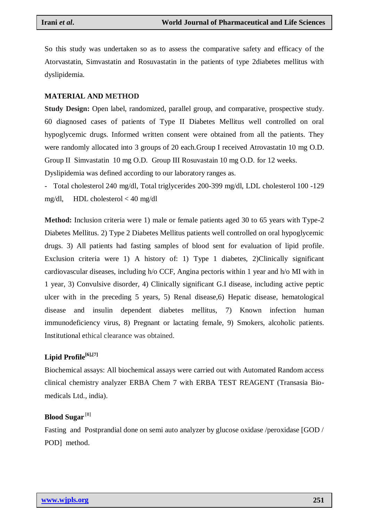So this study was undertaken so as to assess the comparative safety and efficacy of the Atorvastatin, Simvastatin and Rosuvastatin in the patients of type 2diabetes mellitus with dyslipidemia.

#### **MATERIAL AND METHOD**

**Study Design:** Open label, randomized, parallel group, and comparative, prospective study. 60 diagnosed cases of patients of Type II Diabetes Mellitus well controlled on oral hypoglycemic drugs. Informed written consent were obtained from all the patients. They were randomly allocated into 3 groups of 20 each.Group I received Atrovastatin 10 mg O.D. Group II Simvastatin 10 mg O.D. Group III Rosuvastain 10 mg O.D. for 12 weeks.

Dyslipidemia was defined according to our laboratory ranges as.

- Total cholesterol 240 mg/dl, Total triglycerides 200-399 mg/dl, LDL cholesterol 100 -129 mg/dl, HDL cholesterol < 40 mg/dl

**Method:** Inclusion criteria were 1) male or female patients aged 30 to 65 years with Type-2 Diabetes Mellitus. 2) Type 2 Diabetes Mellitus patients well controlled on oral hypoglycemic drugs. 3) All patients had fasting samples of blood sent for evaluation of lipid profile. Exclusion criteria were 1) A history of: 1) Type 1 diabetes, 2)Clinically significant cardiovascular diseases, including h/o CCF, Angina pectoris within 1 year and h/o MI with in 1 year, 3) Convulsive disorder, 4) Clinically significant G.I disease, including active peptic ulcer with in the preceding 5 years, 5) Renal disease, 6) Hepatic disease, hematological disease and insulin dependent diabetes mellitus, 7) Known infection human immunodeficiency virus, 8) Pregnant or lactating female, 9) Smokers, alcoholic patients. Institutional ethical clearance was obtained.

#### **Lipid Profile[6],[7]**

Biochemical assays: All biochemical assays were carried out with Automated Random access clinical chemistry analyzer ERBA Chem 7 with ERBA TEST REAGENT (Transasia Biomedicals Ltd., india).

#### **Blood Sugar** [8]

Fasting and Postprandial done on semi auto analyzer by glucose oxidase /peroxidase [GOD / POD] method.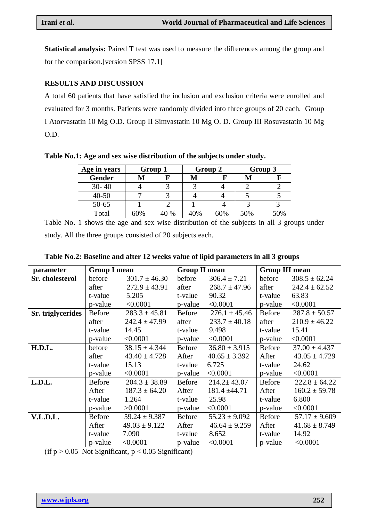**Statistical analysis:** Paired T test was used to measure the differences among the group and for the comparison.[version SPSS 17.1]

#### **RESULTS AND DISCUSSION**

A total 60 patients that have satisfied the inclusion and exclusion criteria were enrolled and evaluated for 3 months. Patients were randomly divided into three groups of 20 each. Group I Atorvastatin 10 Mg O.D. Group II Simvastatin 10 Mg O. D. Group III Rosuvastatin 10 Mg O.D.

| Age in years  | Group 1 |      | Group 2 |     | Group 3 |     |
|---------------|---------|------|---------|-----|---------|-----|
| <b>Gender</b> |         |      |         |     |         |     |
| $30 - 40$     |         |      |         |     |         |     |
| $40 - 50$     |         |      |         |     |         |     |
| $50 - 65$     |         |      |         |     |         |     |
| Total         | 60%     | 40 % | 40%     | 60% | 50%     | 50% |

**Table No.1: Age and sex wise distribution of the subjects under study.**

Table No. 1 shows the age and sex wise distribution of the subjects in all 3 groups under study. All the three groups consisted of 20 subjects each.

| parameter         | <b>Group I mean</b> |                   | <b>Group II mean</b> |                   | <b>Group III mean</b> |                   |
|-------------------|---------------------|-------------------|----------------------|-------------------|-----------------------|-------------------|
| Sr. cholesterol   | before              | $301.7 \pm 46.30$ | before               | $306.4 \pm 7.21$  | before                | $308.5 \pm 62.24$ |
|                   | after               | $272.9 \pm 43.91$ | after                | $268.7 \pm 47.96$ | after                 | $242.4 \pm 62.52$ |
|                   | t-value             | 5.205             | t-value              | 90.32             | t-value               | 63.83             |
|                   | p-value             | < 0.0001          | p-value              | < 0.0001          | p-value               | < 0.0001          |
| Sr. triglycerides | Before              | $283.3 \pm 45.81$ | Before               | $276.1 \pm 45.46$ | Before                | $287.8 \pm 50.57$ |
|                   | after               | $242.4 \pm 47.99$ | after                | $233.7 \pm 40.18$ | after                 | $210.9 \pm 46.22$ |
|                   | t-value             | 14.45             | t-value              | 9.498             | t-value               | 15.41             |
|                   | p-value             | < 0.0001          | p-value              | < 0.0001          | p-value               | < 0.0001          |
| H.D.L.            | before              | $38.15 \pm 4.344$ | Before               | $36.80 \pm 3.915$ | Before                | $37.00 \pm 4.437$ |
|                   | after               | $43.40 \pm 4.728$ | After                | $40.65 \pm 3.392$ | After                 | $43.05 \pm 4.729$ |
|                   | t-value             | 15.13             | t-value              | 6.725             | t-value               | 24.62             |
|                   | p-value             | < 0.0001          | p-value              | < 0.0001          | p-value               | < 0.0001          |
| L.D.L.            | <b>Before</b>       | $204.3 \pm 38.89$ | <b>Before</b>        | $214.2 \pm 43.07$ | Before                | $222.8 \pm 64.22$ |
|                   | After               | $187.3 \pm 64.20$ | After                | $181.4 \pm 44.71$ | After                 | $160.2 \pm 59.78$ |
|                   | t-value             | 1.264             | t-value              | 25.98             | t-value               | 6.800             |
|                   | p-value             | >0.0001           | p-value              | < 0.0001          | p-value               | < 0.0001          |
| V.L.D.L.          | <b>Before</b>       | $59.24 \pm 9.387$ | <b>Before</b>        | $55.23 \pm 9.092$ | Before                | $57.17 \pm 9.609$ |
|                   | After               | $49.03 \pm 9.122$ | After                | $46.64 \pm 9.259$ | After                 | $41.68 \pm 8.749$ |
|                   | t-value             | 7.090             | t-value              | 8.652             | t-value               | 14.92             |
|                   | p-value             | < 0.0001          | p-value              | < 0.0001          | p-value               | < 0.0001          |

(if  $p > 0.05$  Not Significant,  $p < 0.05$  Significant)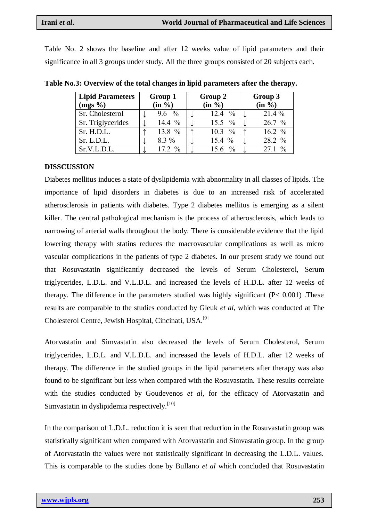Table No. 2 shows the baseline and after 12 weeks value of lipid parameters and their significance in all 3 groups under study. All the three groups consisted of 20 subjects each.

| <b>Lipid Parameters</b> |  | Group 1            |  | Group 2               |  | Group 3            |  |
|-------------------------|--|--------------------|--|-----------------------|--|--------------------|--|
| $(mgs \%)$              |  | $(in \frac{9}{6})$ |  | $(in \frac{9}{6})$    |  | $(in \frac{9}{6})$ |  |
| Sr. Cholesterol         |  | 9.6 $\frac{9}{6}$  |  | $\frac{0}{0}$<br>12.4 |  | $21.4\%$           |  |
| Sr. Triglycerides       |  | 14.4 $%$           |  | 15.5 $\%$             |  | 26.7%              |  |
| Sr. H.D.L.              |  | 13.8 %             |  | $10.3\%$              |  | $16.2 \%$          |  |
| Sr. L.D.L.              |  | 8.3 %              |  | 15.4 $%$              |  | 28.2 %             |  |
| Sr.V.L.D.L.             |  | $17.2 \%$          |  | $\frac{0}{0}$         |  | 27.1%              |  |

**Table No.3: Overview of the total changes in lipid parameters after the therapy.**

#### **DISSCUSSION**

Diabetes mellitus induces a state of dyslipidemia with abnormality in all classes of lipids. The importance of lipid disorders in diabetes is due to an increased risk of accelerated atherosclerosis in patients with diabetes. Type 2 diabetes mellitus is emerging as a silent killer. The central pathological mechanism is the process of atherosclerosis, which leads to narrowing of arterial walls throughout the body. There is considerable evidence that the lipid lowering therapy with statins reduces the macrovascular complications as well as micro vascular complications in the patients of type 2 diabetes. In our present study we found out that Rosuvastatin significantly decreased the levels of Serum Cholesterol, Serum triglycerides, L.D.L. and V.L.D.L. and increased the levels of H.D.L. after 12 weeks of therapy. The difference in the parameters studied was highly significant (P< 0.001) .These results are comparable to the studies conducted by Gleuk *et al*, which was conducted at The Cholesterol Centre, Jewish Hospital, Cincinati, USA.[9]

Atorvastatin and Simvastatin also decreased the levels of Serum Cholesterol, Serum triglycerides, L.D.L. and V.L.D.L. and increased the levels of H.D.L. after 12 weeks of therapy. The difference in the studied groups in the lipid parameters after therapy was also found to be significant but less when compared with the Rosuvastatin. These results correlate with the studies conducted by Goudevenos *et al*, for the efficacy of Atorvastatin and Simvastatin in dyslipidemia respectively.<sup>[10]</sup>

In the comparison of L.D.L. reduction it is seen that reduction in the Rosuvastatin group was statistically significant when compared with Atorvastatin and Simvastatin group. In the group of Atorvastatin the values were not statistically significant in decreasing the L.D.L. values. This is comparable to the studies done by Bullano *et al* which concluded that Rosuvastatin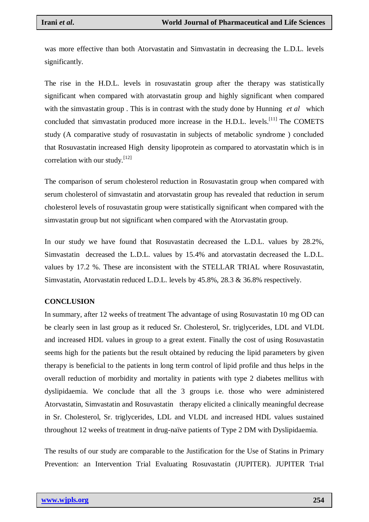was more effective than both Atorvastatin and Simvastatin in decreasing the L.D.L. levels significantly.

The rise in the H.D.L. levels in rosuvastatin group after the therapy was statistically significant when compared with atorvastatin group and highly significant when compared with the simvastatin group . This is in contrast with the study done by Hunning *et al* which concluded that simvastatin produced more increase in the H.D.L. levels.<sup>[11]</sup> The COMETS study (A comparative study of rosuvastatin in subjects of metabolic syndrome ) concluded that Rosuvastatin increased High density lipoprotein as compared to atorvastatin which is in correlation with our study.<sup>[12]</sup>

The comparison of serum cholesterol reduction in Rosuvastatin group when compared with serum cholesterol of simvastatin and atorvastatin group has revealed that reduction in serum cholesterol levels of rosuvastatin group were statistically significant when compared with the simvastatin group but not significant when compared with the Atorvastatin group.

In our study we have found that Rosuvastatin decreased the L.D.L. values by 28.2%, Simvastatin decreased the L.D.L. values by 15.4% and atorvastatin decreased the L.D.L. values by 17.2 %. These are inconsistent with the STELLAR TRIAL where Rosuvastatin, Simvastatin, Atorvastatin reduced L.D.L. levels by 45.8%, 28.3 & 36.8% respectively.

#### **CONCLUSION**

In summary, after 12 weeks of treatment The advantage of using Rosuvastatin 10 mg OD can be clearly seen in last group as it reduced Sr. Cholesterol, Sr. triglycerides, LDL and VLDL and increased HDL values in group to a great extent. Finally the cost of using Rosuvastatin seems high for the patients but the result obtained by reducing the lipid parameters by given therapy is beneficial to the patients in long term control of lipid profile and thus helps in the overall reduction of morbidity and mortality in patients with type 2 diabetes mellitus with dyslipidaemia. We conclude that all the 3 groups i.e. those who were administered Atorvastatin, Simvastatin and Rosuvastatin therapy elicited a clinically meaningful decrease in Sr. Cholesterol, Sr. triglycerides, LDL and VLDL and increased HDL values sustained throughout 12 weeks of treatment in drug-naïve patients of Type 2 DM with Dyslipidaemia.

The results of our study are comparable to the Justification for the Use of Statins in Primary Prevention: an Intervention Trial Evaluating Rosuvastatin (JUPITER). JUPITER Trial